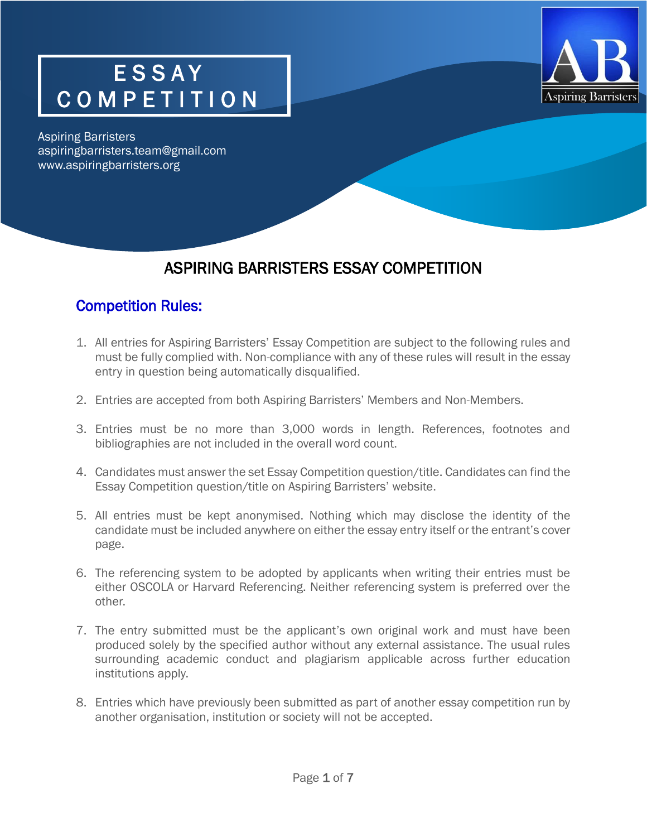



Aspiring Barristers aspiringbarristers.team@gmail.com www.aspiringbarristers.org

### ASPIRING BARRISTERS ESSAY COMPETITION

#### Competition Rules:

- 1. All entries for Aspiring Barristers' Essay Competition are subject to the following rules and must be fully complied with. Non-compliance with any of these rules will result in the essay entry in question being automatically disqualified.
- 2. Entries are accepted from both Aspiring Barristers' Members and Non-Members.
- 3. Entries must be no more than 3,000 words in length. References, footnotes and bibliographies are not included in the overall word count.
- 4. Candidates must answer the set Essay Competition question/title. Candidates can find the Essay Competition question/title on Aspiring Barristers' website.
- 5. All entries must be kept anonymised. Nothing which may disclose the identity of the candidate must be included anywhere on either the essay entry itself or the entrant's cover page.
- 6. The referencing system to be adopted by applicants when writing their entries must be either OSCOLA or Harvard Referencing. Neither referencing system is preferred over the other.
- 7. The entry submitted must be the applicant's own original work and must have been produced solely by the specified author without any external assistance. The usual rules surrounding academic conduct and plagiarism applicable across further education institutions apply.
- 8. Entries which have previously been submitted as part of another essay competition run by another organisation, institution or society will not be accepted.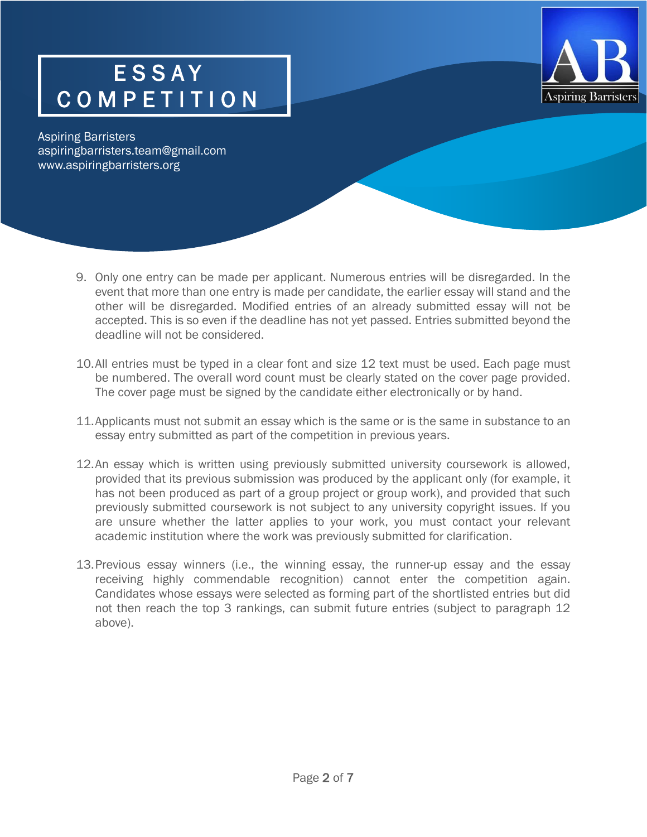

Aspiring Barristers aspiringbarristers.team@gmail.com www.aspiringbarristers.org

- 9. Only one entry can be made per applicant. Numerous entries will be disregarded. In the event that more than one entry is made per candidate, the earlier essay will stand and the other will be disregarded. Modified entries of an already submitted essay will not be accepted. This is so even if the deadline has not yet passed. Entries submitted beyond the deadline will not be considered.
- 10.All entries must be typed in a clear font and size 12 text must be used. Each page must be numbered. The overall word count must be clearly stated on the cover page provided. The cover page must be signed by the candidate either electronically or by hand.
- 11.Applicants must not submit an essay which is the same or is the same in substance to an essay entry submitted as part of the competition in previous years.
- 12.An essay which is written using previously submitted university coursework is allowed, provided that its previous submission was produced by the applicant only (for example, it has not been produced as part of a group project or group work), and provided that such previously submitted coursework is not subject to any university copyright issues. If you are unsure whether the latter applies to your work, you must contact your relevant academic institution where the work was previously submitted for clarification.
- 13.Previous essay winners (i.e., the winning essay, the runner-up essay and the essay receiving highly commendable recognition) cannot enter the competition again. Candidates whose essays were selected as forming part of the shortlisted entries but did not then reach the top 3 rankings, can submit future entries (subject to paragraph 12 above).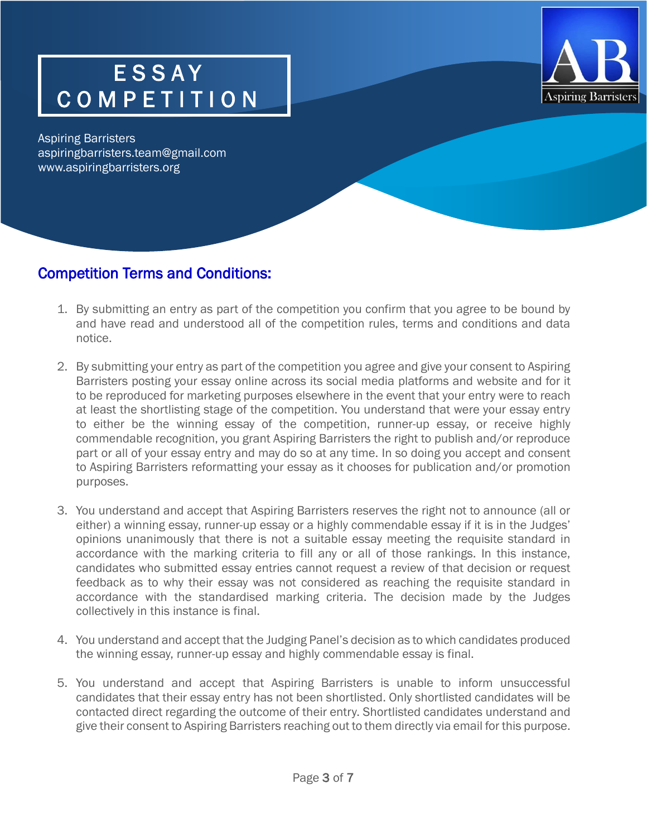

Aspiring Barristers aspiringbarristers.team@gmail.com www.aspiringbarristers.org

j

#### Competition Terms and Conditions:

- 1. By submitting an entry as part of the competition you confirm that you agree to be bound by and have read and understood all of the competition rules, terms and conditions and data notice.
- 2. By submitting your entry as part of the competition you agree and give your consent to Aspiring Barristers posting your essay online across its social media platforms and website and for it to be reproduced for marketing purposes elsewhere in the event that your entry were to reach at least the shortlisting stage of the competition. You understand that were your essay entry to either be the winning essay of the competition, runner-up essay, or receive highly commendable recognition, you grant Aspiring Barristers the right to publish and/or reproduce part or all of your essay entry and may do so at any time. In so doing you accept and consent to Aspiring Barristers reformatting your essay as it chooses for publication and/or promotion purposes.
- 3. You understand and accept that Aspiring Barristers reserves the right not to announce (all or either) a winning essay, runner-up essay or a highly commendable essay if it is in the Judges' opinions unanimously that there is not a suitable essay meeting the requisite standard in accordance with the marking criteria to fill any or all of those rankings. In this instance, candidates who submitted essay entries cannot request a review of that decision or request feedback as to why their essay was not considered as reaching the requisite standard in accordance with the standardised marking criteria. The decision made by the Judges collectively in this instance is final.
- 4. You understand and accept that the Judging Panel's decision as to which candidates produced the winning essay, runner-up essay and highly commendable essay is final.
- 5. You understand and accept that Aspiring Barristers is unable to inform unsuccessful candidates that their essay entry has not been shortlisted. Only shortlisted candidates will be contacted direct regarding the outcome of their entry. Shortlisted candidates understand and give their consent to Aspiring Barristers reaching out to them directly via email for this purpose.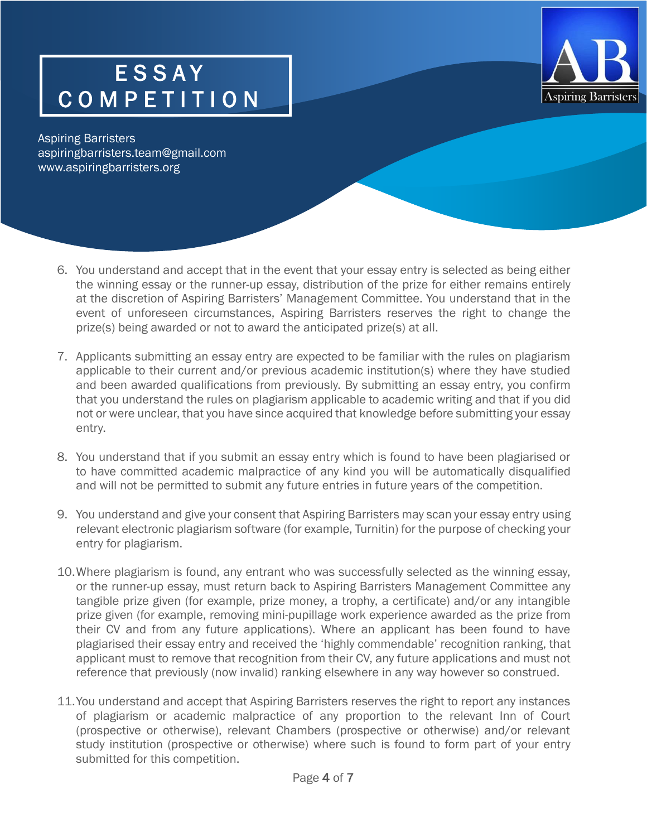

Aspiring Barristers aspiringbarristers.team@gmail.com www.aspiringbarristers.org

- 6. You understand and accept that in the event that your essay entry is selected as being either the winning essay or the runner-up essay, distribution of the prize for either remains entirely at the discretion of Aspiring Barristers' Management Committee. You understand that in the event of unforeseen circumstances, Aspiring Barristers reserves the right to change the prize(s) being awarded or not to award the anticipated prize(s) at all.
- 7. Applicants submitting an essay entry are expected to be familiar with the rules on plagiarism applicable to their current and/or previous academic institution(s) where they have studied and been awarded qualifications from previously. By submitting an essay entry, you confirm that you understand the rules on plagiarism applicable to academic writing and that if you did not or were unclear, that you have since acquired that knowledge before submitting your essay entry.
- 8. You understand that if you submit an essay entry which is found to have been plagiarised or to have committed academic malpractice of any kind you will be automatically disqualified and will not be permitted to submit any future entries in future years of the competition.
- 9. You understand and give your consent that Aspiring Barristers may scan your essay entry using relevant electronic plagiarism software (for example, Turnitin) for the purpose of checking your entry for plagiarism.
- 10.Where plagiarism is found, any entrant who was successfully selected as the winning essay, or the runner-up essay, must return back to Aspiring Barristers Management Committee any tangible prize given (for example, prize money, a trophy, a certificate) and/or any intangible prize given (for example, removing mini-pupillage work experience awarded as the prize from their CV and from any future applications). Where an applicant has been found to have plagiarised their essay entry and received the 'highly commendable' recognition ranking, that applicant must to remove that recognition from their CV, any future applications and must not reference that previously (now invalid) ranking elsewhere in any way however so construed.
- 11.You understand and accept that Aspiring Barristers reserves the right to report any instances of plagiarism or academic malpractice of any proportion to the relevant Inn of Court (prospective or otherwise), relevant Chambers (prospective or otherwise) and/or relevant study institution (prospective or otherwise) where such is found to form part of your entry submitted for this competition.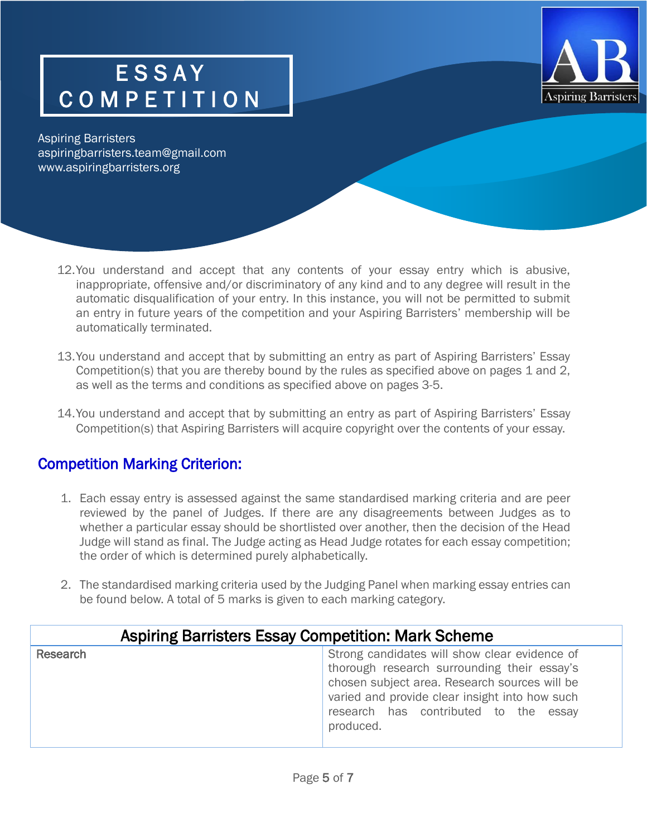

Aspiring Barristers aspiringbarristers.team@gmail.com www.aspiringbarristers.org

- 12.You understand and accept that any contents of your essay entry which is abusive, inappropriate, offensive and/or discriminatory of any kind and to any degree will result in the automatic disqualification of your entry. In this instance, you will not be permitted to submit an entry in future years of the competition and your Aspiring Barristers' membership will be automatically terminated.
- 13.You understand and accept that by submitting an entry as part of Aspiring Barristers' Essay Competition(s) that you are thereby bound by the rules as specified above on pages 1 and 2, as well as the terms and conditions as specified above on pages 3-5.
- 14.You understand and accept that by submitting an entry as part of Aspiring Barristers' Essay Competition(s) that Aspiring Barristers will acquire copyright over the contents of your essay.

#### Competition Marking Criterion:

- 1. Each essay entry is assessed against the same standardised marking criteria and are peer reviewed by the panel of Judges. If there are any disagreements between Judges as to whether a particular essay should be shortlisted over another, then the decision of the Head Judge will stand as final. The Judge acting as Head Judge rotates for each essay competition; the order of which is determined purely alphabetically.
- 2. The standardised marking criteria used by the Judging Panel when marking essay entries can be found below. A total of 5 marks is given to each marking category.

| Aspiring Barristers Essay Competition: Mark Scheme |                                                                                                                                                                                                                                                       |  |
|----------------------------------------------------|-------------------------------------------------------------------------------------------------------------------------------------------------------------------------------------------------------------------------------------------------------|--|
| Research                                           | Strong candidates will show clear evidence of<br>thorough research surrounding their essay's<br>chosen subject area. Research sources will be<br>varied and provide clear insight into how such<br>research has contributed to the essay<br>produced. |  |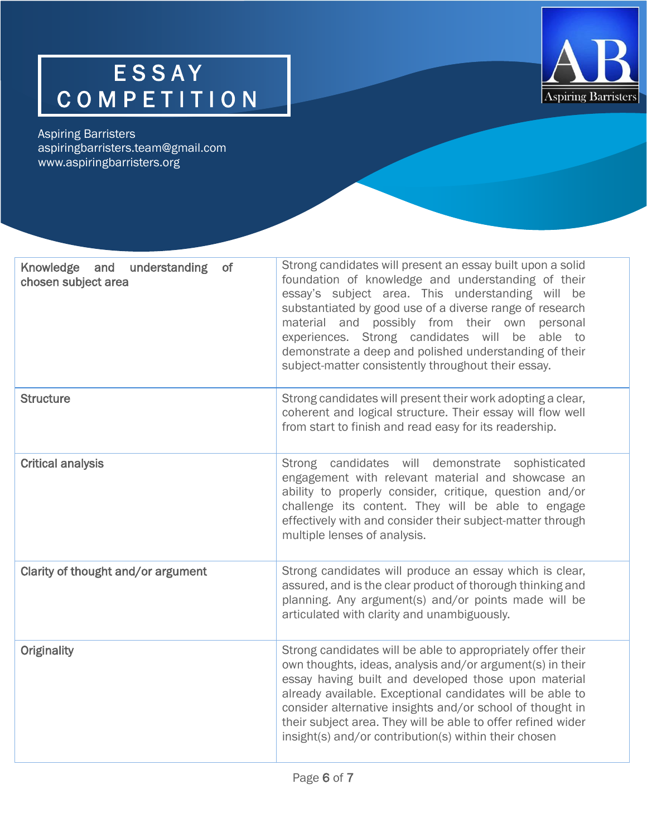

Aspiring Barristers aspiringbarristers.team@gmail.com www.aspiringbarristers.org

| Knowledge and<br>understanding<br>0f<br>chosen subject area | Strong candidates will present an essay built upon a solid<br>foundation of knowledge and understanding of their<br>essay's subject area. This understanding will be<br>substantiated by good use of a diverse range of research<br>material and possibly from their own personal<br>experiences. Strong candidates will be able<br>to<br>demonstrate a deep and polished understanding of their<br>subject-matter consistently throughout their essay. |
|-------------------------------------------------------------|---------------------------------------------------------------------------------------------------------------------------------------------------------------------------------------------------------------------------------------------------------------------------------------------------------------------------------------------------------------------------------------------------------------------------------------------------------|
| <b>Structure</b>                                            | Strong candidates will present their work adopting a clear,<br>coherent and logical structure. Their essay will flow well<br>from start to finish and read easy for its readership.                                                                                                                                                                                                                                                                     |
| <b>Critical analysis</b>                                    | candidates will demonstrate sophisticated<br>Strong<br>engagement with relevant material and showcase an<br>ability to properly consider, critique, question and/or<br>challenge its content. They will be able to engage<br>effectively with and consider their subject-matter through<br>multiple lenses of analysis.                                                                                                                                 |
| Clarity of thought and/or argument                          | Strong candidates will produce an essay which is clear,<br>assured, and is the clear product of thorough thinking and<br>planning. Any argument(s) and/or points made will be<br>articulated with clarity and unambiguously.                                                                                                                                                                                                                            |
| <b>Originality</b>                                          | Strong candidates will be able to appropriately offer their<br>own thoughts, ideas, analysis and/or argument(s) in their<br>essay having built and developed those upon material<br>already available. Exceptional candidates will be able to<br>consider alternative insights and/or school of thought in<br>their subject area. They will be able to offer refined wider<br>insight(s) and/or contribution(s) within their chosen                     |